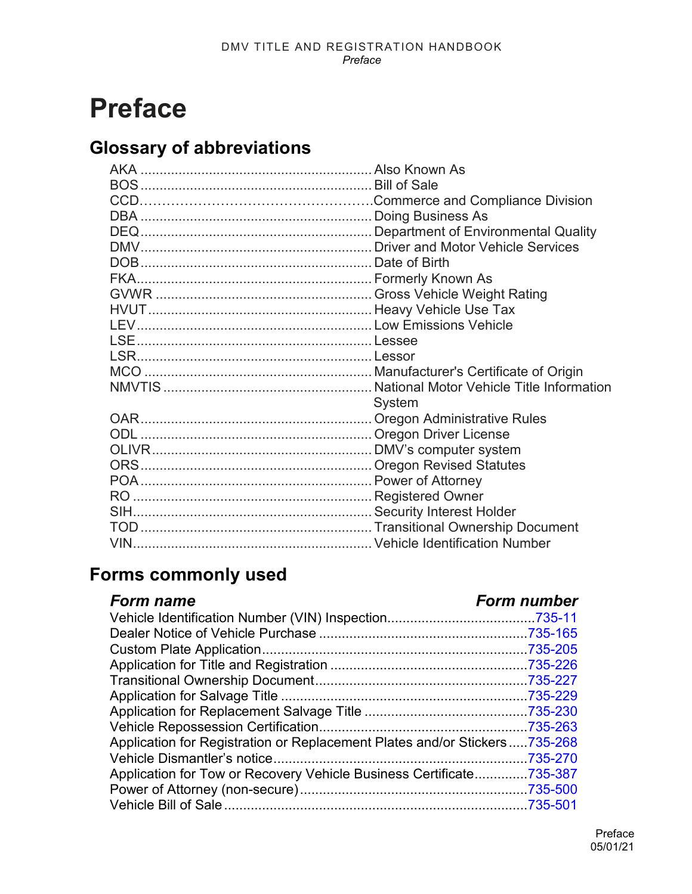# **Preface**

## **Glossary of abbreviations**

| System |
|--------|
|        |
|        |
|        |
|        |
|        |
|        |
|        |
|        |
|        |

### **Forms commonly used**

### *Form name Form number*

| Application for Registration or Replacement Plates and/or Stickers735-268 |  |
|---------------------------------------------------------------------------|--|
|                                                                           |  |
| Application for Tow or Recovery Vehicle Business Certificate735-387       |  |
|                                                                           |  |
|                                                                           |  |